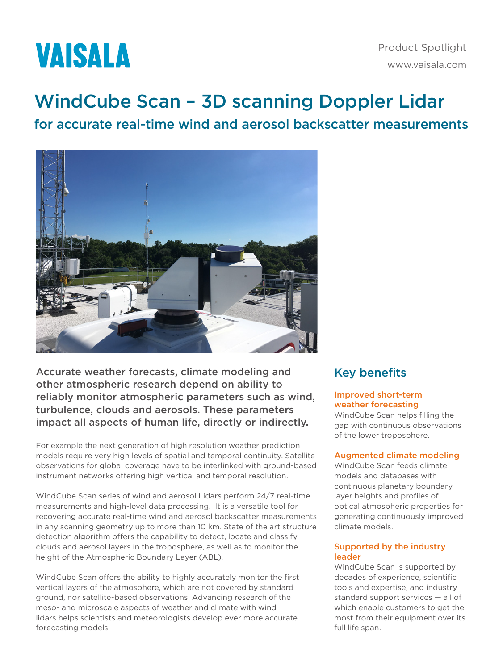

# WindCube Scan – 3D scanning Doppler Lidar

# for accurate real-time wind and aerosol backscatter measurements



Accurate weather forecasts, climate modeling and other atmospheric research depend on ability to reliably monitor atmospheric parameters such as wind, turbulence, clouds and aerosols. These parameters impact all aspects of human life, directly or indirectly.

For example the next generation of high resolution weather prediction models require very high levels of spatial and temporal continuity. Satellite observations for global coverage have to be interlinked with ground-based instrument networks offering high vertical and temporal resolution.

WindCube Scan series of wind and aerosol Lidars perform 24/7 real-time measurements and high-level data processing. It is a versatile tool for recovering accurate real-time wind and aerosol backscatter measurements in any scanning geometry up to more than 10 km. State of the art structure detection algorithm offers the capability to detect, locate and classify clouds and aerosol layers in the troposphere, as well as to monitor the height of the Atmospheric Boundary Layer (ABL).

WindCube Scan offers the ability to highly accurately monitor the first vertical layers of the atmosphere, which are not covered by standard ground, nor satellite-based observations. Advancing research of the meso- and microscale aspects of weather and climate with wind lidars helps scientists and meteorologists develop ever more accurate forecasting models.

### Key benefits

#### Improved short-term weather forecasting

WindCube Scan helps filling the gap with continuous observations of the lower troposphere.

#### Augmented climate modeling

WindCube Scan feeds climate models and databases with continuous planetary boundary layer heights and profiles of optical atmospheric properties for generating continuously improved climate models.

#### Supported by the industry leader

WindCube Scan is supported by decades of experience, scientific tools and expertise, and industry standard support services — all of which enable customers to get the most from their equipment over its full life span.